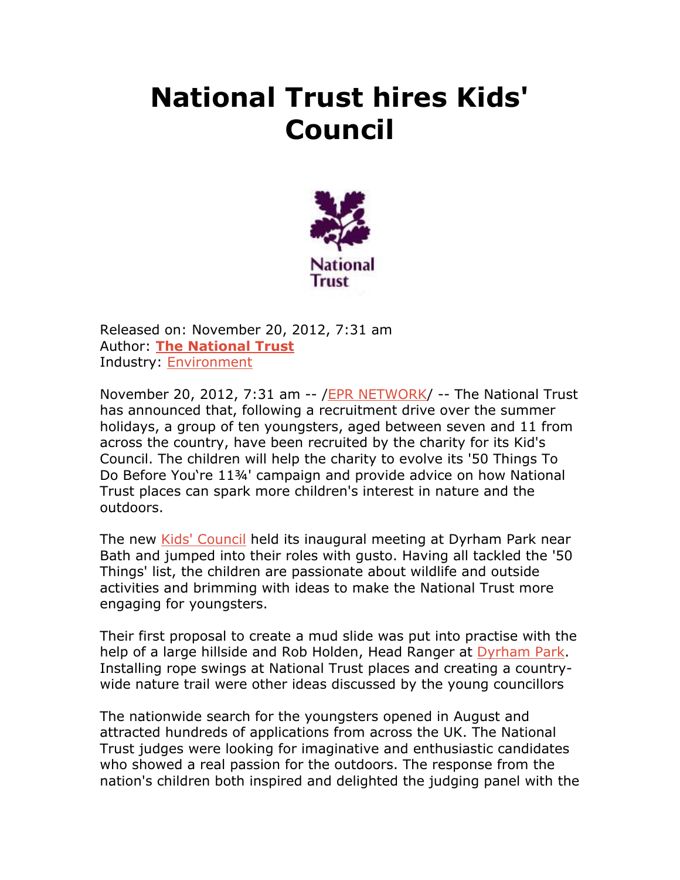## **National Trust hires Kids' Council**



Released on: November 20, 2012, 7:31 am Author: **The National Trust** Industry: Environment

November 20, 2012, 7:31 am -- /EPR NETWORK/ -- The National Trust has announced that, following a recruitment drive over the summer holidays, a group of ten youngsters, aged between seven and 11 from across the country, have been recruited by the charity for its Kid's Council. The children will help the charity to evolve its '50 Things To Do Before You're 11¾' campaign and provide advice on how National Trust places can spark more children's interest in nature and the outdoors.

The new Kids' Council held its inaugural meeting at Dyrham Park near Bath and jumped into their roles with gusto. Having all tackled the '50 Things' list, the children are passionate about wildlife and outside activities and brimming with ideas to make the National Trust more engaging for youngsters.

Their first proposal to create a mud slide was put into practise with the help of a large hillside and Rob Holden, Head Ranger at Dyrham Park. Installing rope swings at National Trust places and creating a countrywide nature trail were other ideas discussed by the young councillors

The nationwide search for the youngsters opened in August and attracted hundreds of applications from across the UK. The National Trust judges were looking for imaginative and enthusiastic candidates who showed a real passion for the outdoors. The response from the nation's children both inspired and delighted the judging panel with the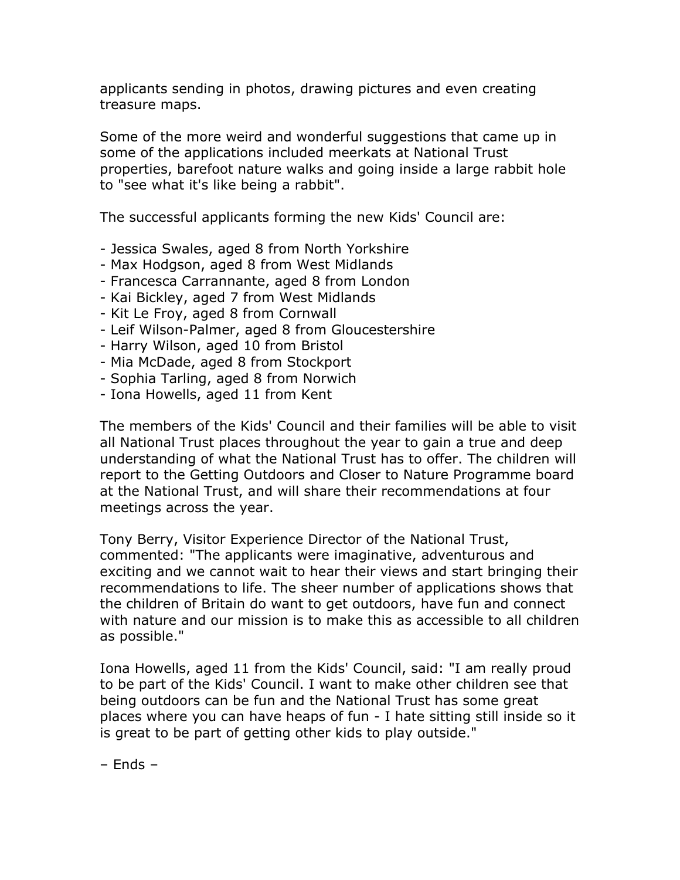applicants sending in photos, drawing pictures and even creating treasure maps.

Some of the more weird and wonderful suggestions that came up in some of the applications included meerkats at National Trust properties, barefoot nature walks and going inside a large rabbit hole to "see what it's like being a rabbit".

The successful applicants forming the new Kids' Council are:

- Jessica Swales, aged 8 from North Yorkshire
- Max Hodgson, aged 8 from West Midlands
- Francesca Carrannante, aged 8 from London
- Kai Bickley, aged 7 from West Midlands
- Kit Le Froy, aged 8 from Cornwall
- Leif Wilson-Palmer, aged 8 from Gloucestershire
- Harry Wilson, aged 10 from Bristol
- Mia McDade, aged 8 from Stockport
- Sophia Tarling, aged 8 from Norwich
- Iona Howells, aged 11 from Kent

The members of the Kids' Council and their families will be able to visit all National Trust places throughout the year to gain a true and deep understanding of what the National Trust has to offer. The children will report to the Getting Outdoors and Closer to Nature Programme board at the National Trust, and will share their recommendations at four meetings across the year.

Tony Berry, Visitor Experience Director of the National Trust, commented: "The applicants were imaginative, adventurous and exciting and we cannot wait to hear their views and start bringing their recommendations to life. The sheer number of applications shows that the children of Britain do want to get outdoors, have fun and connect with nature and our mission is to make this as accessible to all children as possible."

Iona Howells, aged 11 from the Kids' Council, said: "I am really proud to be part of the Kids' Council. I want to make other children see that being outdoors can be fun and the National Trust has some great places where you can have heaps of fun - I hate sitting still inside so it is great to be part of getting other kids to play outside."

– Ends –